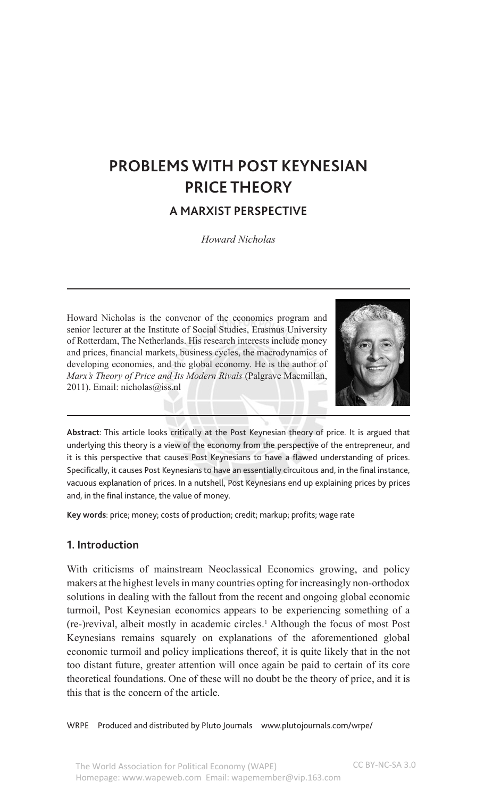# **A MARXIST PERSPECTIVE**

*Howard Nicholas*

Howard Nicholas is the convenor of the economics program and senior lecturer at the Institute of Social Studies, Erasmus University of Rotterdam, The Netherlands. His research interests include money and prices, financial markets, business cycles, the macrodynamics of developing economies, and the global economy. He is the author of *Marx's Theory of Price and Its Modern Rivals* (Palgrave Macmillan, 2011). Email: nicholas@iss.nl



**Abstract**: This article looks critically at the Post Keynesian theory of price. It is argued that underlying this theory is a view of the economy from the perspective of the entrepreneur, and it is this perspective that causes Post Keynesians to have a flawed understanding of prices. Specifically, it causes Post Keynesians to have an essentially circuitous and, in the final instance, vacuous explanation of prices. In a nutshell, Post Keynesians end up explaining prices by prices and, in the final instance, the value of money.

**Key words**: price; money; costs of production; credit; markup; profits; wage rate

# **1. Introduction**

With criticisms of mainstream Neoclassical Economics growing, and policy makers at the highest levels in many countries opting for increasingly non-orthodox solutions in dealing with the fallout from the recent and ongoing global economic turmoil, Post Keynesian economics appears to be experiencing something of a (re-)revival, albeit mostly in academic circles.1 Although the focus of most Post Keynesians remains squarely on explanations of the aforementioned global economic turmoil and policy implications thereof, it is quite likely that in the not too distant future, greater attention will once again be paid to certain of its core theoretical foundations. One of these will no doubt be the theory of price, and it is this that is the concern of the article.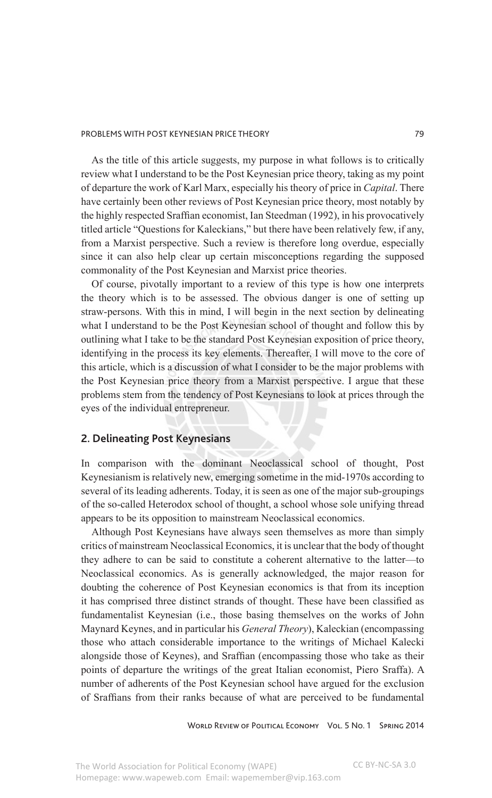## PROBLEMS WITH POST KEYNESIAN PRICE THEORY **The CONSTRUCT OF A SET ASSAULT** TO THE 20 YO

As the title of this article suggests, my purpose in what follows is to critically review what I understand to be the Post Keynesian price theory, taking as my point of departure the work of Karl Marx, especially his theory of price in *Capital*. There have certainly been other reviews of Post Keynesian price theory, most notably by the highly respected Sraffian economist, Ian Steedman (1992), in his provocatively titled article "Questions for Kaleckians," but there have been relatively few, if any, from a Marxist perspective. Such a review is therefore long overdue, especially since it can also help clear up certain misconceptions regarding the supposed commonality of the Post Keynesian and Marxist price theories.

Of course, pivotally important to a review of this type is how one interprets the theory which is to be assessed. The obvious danger is one of setting up straw-persons. With this in mind, I will begin in the next section by delineating what I understand to be the Post Keynesian school of thought and follow this by outlining what I take to be the standard Post Keynesian exposition of price theory, identifying in the process its key elements. Thereafter, I will move to the core of this article, which is a discussion of what I consider to be the major problems with the Post Keynesian price theory from a Marxist perspective. I argue that these problems stem from the tendency of Post Keynesians to look at prices through the eyes of the individual entrepreneur.

# **2. Delineating Post Keynesians**

In comparison with the dominant Neoclassical school of thought, Post Keynesianism is relatively new, emerging sometime in the mid-1970s according to several of its leading adherents. Today, it is seen as one of the major sub-groupings of the so-called Heterodox school of thought, a school whose sole unifying thread appears to be its opposition to mainstream Neoclassical economics.

Although Post Keynesians have always seen themselves as more than simply critics of mainstream Neoclassical Economics, it is unclear that the body of thought they adhere to can be said to constitute a coherent alternative to the latter—to Neoclassical economics. As is generally acknowledged, the major reason for doubting the coherence of Post Keynesian economics is that from its inception it has comprised three distinct strands of thought. These have been classified as fundamentalist Keynesian (i.e., those basing themselves on the works of John Maynard Keynes, and in particular his *General Theory*), Kaleckian (encompassing those who attach considerable importance to the writings of Michael Kalecki alongside those of Keynes), and Sraffian (encompassing those who take as their points of departure the writings of the great Italian economist, Piero Sraffa). A number of adherents of the Post Keynesian school have argued for the exclusion of Sraffians from their ranks because of what are perceived to be fundamental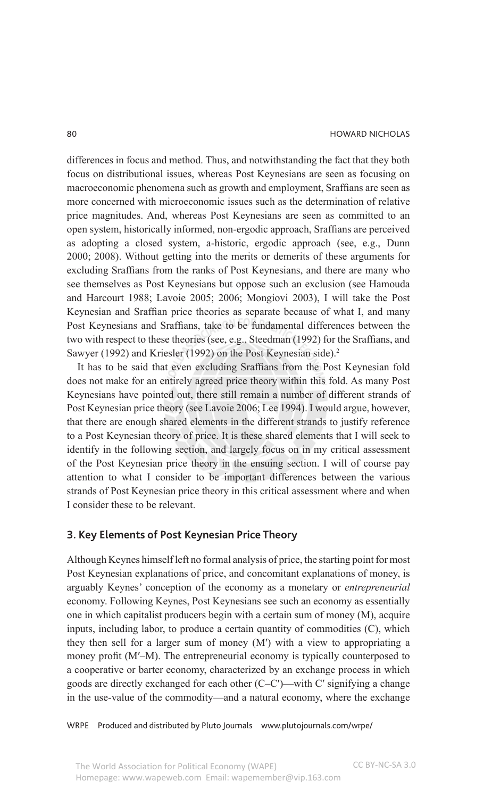differences in focus and method. Thus, and notwithstanding the fact that they both focus on distributional issues, whereas Post Keynesians are seen as focusing on macroeconomic phenomena such as growth and employment, Sraffians are seen as more concerned with microeconomic issues such as the determination of relative price magnitudes. And, whereas Post Keynesians are seen as committed to an open system, historically informed, non-ergodic approach, Sraffians are perceived as adopting a closed system, a-historic, ergodic approach (see, e.g., Dunn 2000; 2008). Without getting into the merits or demerits of these arguments for excluding Sraffians from the ranks of Post Keynesians, and there are many who see themselves as Post Keynesians but oppose such an exclusion (see Hamouda and Harcourt 1988; Lavoie 2005; 2006; Mongiovi 2003), I will take the Post Keynesian and Sraffian price theories as separate because of what I, and many Post Keynesians and Sraffians, take to be fundamental differences between the two with respect to these theories (see, e.g., Steedman (1992) for the Sraffians, and Sawyer (1992) and Kriesler (1992) on the Post Keynesian side).<sup>2</sup>

It has to be said that even excluding Sraffians from the Post Keynesian fold does not make for an entirely agreed price theory within this fold. As many Post Keynesians have pointed out, there still remain a number of different strands of Post Keynesian price theory (see Lavoie 2006; Lee 1994). I would argue, however, that there are enough shared elements in the different strands to justify reference to a Post Keynesian theory of price. It is these shared elements that I will seek to identify in the following section, and largely focus on in my critical assessment of the Post Keynesian price theory in the ensuing section. I will of course pay attention to what I consider to be important differences between the various strands of Post Keynesian price theory in this critical assessment where and when I consider these to be relevant.

## **3. Key Elements of Post Keynesian Price Theory**

Although Keynes himself left no formal analysis of price, the starting point for most Post Keynesian explanations of price, and concomitant explanations of money, is arguably Keynes' conception of the economy as a monetary or *entrepreneurial* economy. Following Keynes, Post Keynesians see such an economy as essentially one in which capitalist producers begin with a certain sum of money (M), acquire inputs, including labor, to produce a certain quantity of commodities (C), which they then sell for a larger sum of money (Mʹ) with a view to appropriating a money profit (M'–M). The entrepreneurial economy is typically counterposed to a cooperative or barter economy, characterized by an exchange process in which goods are directly exchanged for each other (C–Cʹ)—with Cʹ signifying a change in the use-value of the commodity—and a natural economy, where the exchange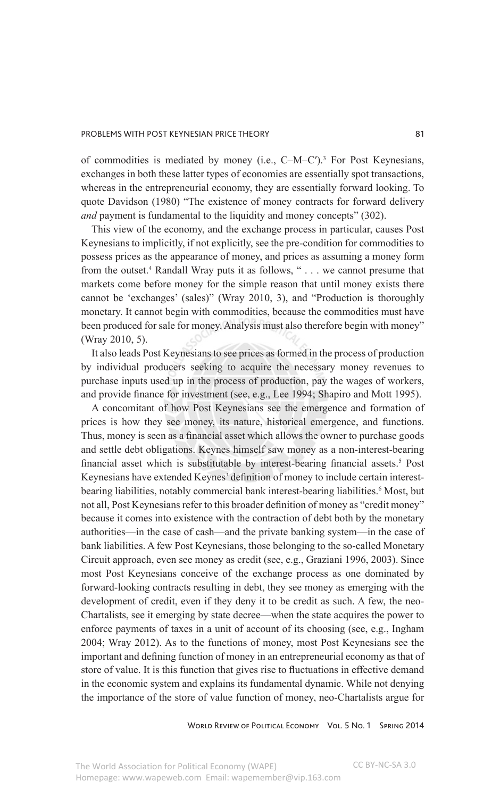of commodities is mediated by money (i.e., C–M–Cʹ).3 For Post Keynesians, exchanges in both these latter types of economies are essentially spot transactions, whereas in the entrepreneurial economy, they are essentially forward looking. To quote Davidson (1980) "The existence of money contracts for forward delivery *and* payment is fundamental to the liquidity and money concepts" (302).

This view of the economy, and the exchange process in particular, causes Post Keynesians to implicitly, if not explicitly, see the pre-condition for commodities to possess prices as the appearance of money, and prices as assuming a money form from the outset.4 Randall Wray puts it as follows, " . . . we cannot presume that markets come before money for the simple reason that until money exists there cannot be 'exchanges' (sales)" (Wray 2010, 3), and "Production is thoroughly monetary. It cannot begin with commodities, because the commodities must have been produced for sale for money. Analysis must also therefore begin with money" (Wray 2010, 5).

It also leads Post Keynesians to see prices as formed in the process of production by individual producers seeking to acquire the necessary money revenues to purchase inputs used up in the process of production, pay the wages of workers, and provide finance for investment (see, e.g., Lee 1994; Shapiro and Mott 1995).

A concomitant of how Post Keynesians see the emergence and formation of prices is how they see money, its nature, historical emergence, and functions. Thus, money is seen as a financial asset which allows the owner to purchase goods and settle debt obligations. Keynes himself saw money as a non-interest-bearing financial asset which is substitutable by interest-bearing financial assets.<sup>5</sup> Post Keynesians have extended Keynes' definition of money to include certain interestbearing liabilities, notably commercial bank interest-bearing liabilities.<sup>6</sup> Most, but not all, Post Keynesians refer to this broader definition of money as "credit money" because it comes into existence with the contraction of debt both by the monetary authorities—in the case of cash—and the private banking system—in the case of bank liabilities. A few Post Keynesians, those belonging to the so-called Monetary Circuit approach, even see money as credit (see, e.g., Graziani 1996, 2003). Since most Post Keynesians conceive of the exchange process as one dominated by forward-looking contracts resulting in debt, they see money as emerging with the development of credit, even if they deny it to be credit as such. A few, the neo-Chartalists, see it emerging by state decree—when the state acquires the power to enforce payments of taxes in a unit of account of its choosing (see, e.g., Ingham 2004; Wray 2012). As to the functions of money, most Post Keynesians see the important and defining function of money in an entrepreneurial economy as that of store of value. It is this function that gives rise to fluctuations in effective demand in the economic system and explains its fundamental dynamic. While not denying the importance of the store of value function of money, neo-Chartalists argue for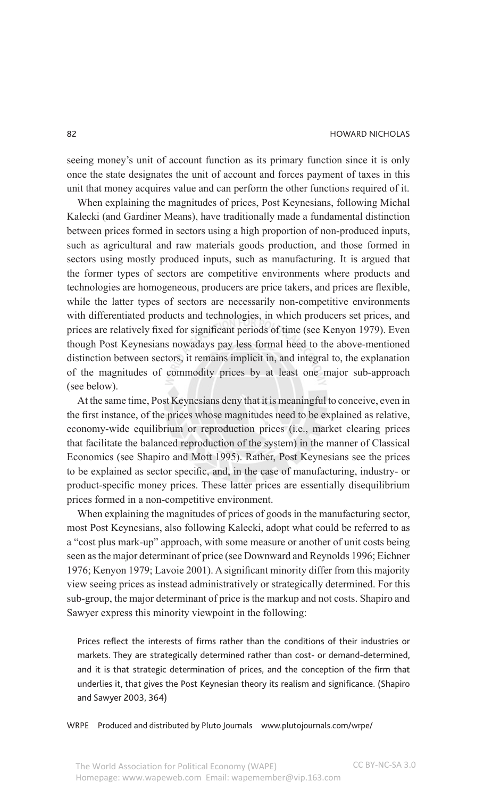seeing money's unit of account function as its primary function since it is only once the state designates the unit of account and forces payment of taxes in this unit that money acquires value and can perform the other functions required of it.

When explaining the magnitudes of prices, Post Keynesians, following Michal Kalecki (and Gardiner Means), have traditionally made a fundamental distinction between prices formed in sectors using a high proportion of non-produced inputs, such as agricultural and raw materials goods production, and those formed in sectors using mostly produced inputs, such as manufacturing. It is argued that the former types of sectors are competitive environments where products and technologies are homogeneous, producers are price takers, and prices are flexible, while the latter types of sectors are necessarily non-competitive environments with differentiated products and technologies, in which producers set prices, and prices are relatively fixed for significant periods of time (see Kenyon 1979). Even though Post Keynesians nowadays pay less formal heed to the above-mentioned distinction between sectors, it remains implicit in, and integral to, the explanation of the magnitudes of commodity prices by at least one major sub-approach (see below).

At the same time, Post Keynesians deny that it is meaningful to conceive, even in the first instance, of the prices whose magnitudes need to be explained as relative, economy-wide equilibrium or reproduction prices (i.e., market clearing prices that facilitate the balanced reproduction of the system) in the manner of Classical Economics (see Shapiro and Mott 1995). Rather, Post Keynesians see the prices to be explained as sector specific, and, in the case of manufacturing, industry- or product-specific money prices. These latter prices are essentially disequilibrium prices formed in a non-competitive environment.

When explaining the magnitudes of prices of goods in the manufacturing sector, most Post Keynesians, also following Kalecki, adopt what could be referred to as a "cost plus mark-up" approach, with some measure or another of unit costs being seen as the major determinant of price (see Downward and Reynolds 1996; Eichner 1976; Kenyon 1979; Lavoie 2001). A significant minority differ from this majority view seeing prices as instead administratively or strategically determined. For this sub-group, the major determinant of price is the markup and not costs. Shapiro and Sawyer express this minority viewpoint in the following:

Prices reflect the interests of firms rather than the conditions of their industries or markets. They are strategically determined rather than cost- or demand-determined, and it is that strategic determination of prices, and the conception of the firm that underlies it, that gives the Post Keynesian theory its realism and significance. (Shapiro and Sawyer 2003, 364)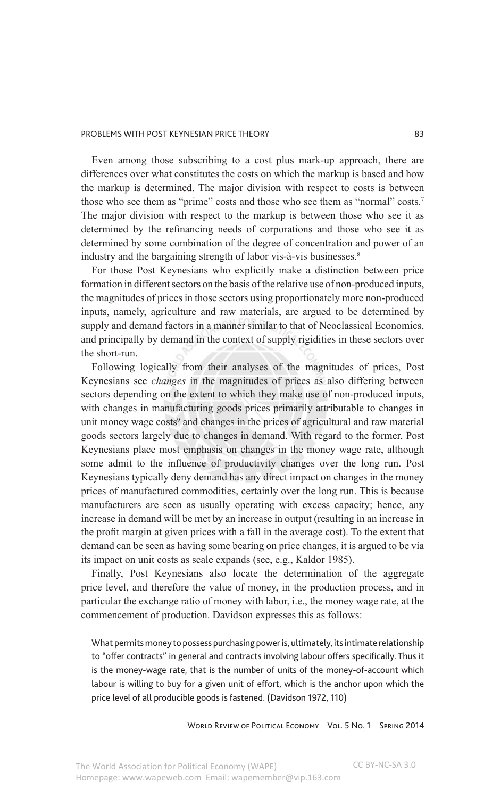Even among those subscribing to a cost plus mark-up approach, there are differences over what constitutes the costs on which the markup is based and how the markup is determined. The major division with respect to costs is between those who see them as "prime" costs and those who see them as "normal" costs.7 The major division with respect to the markup is between those who see it as determined by the refinancing needs of corporations and those who see it as determined by some combination of the degree of concentration and power of an industry and the bargaining strength of labor vis-à-vis businesses.<sup>8</sup>

For those Post Keynesians who explicitly make a distinction between price formation in different sectors on the basis of the relative use of non-produced inputs, the magnitudes of prices in those sectors using proportionately more non-produced inputs, namely, agriculture and raw materials, are argued to be determined by supply and demand factors in a manner similar to that of Neoclassical Economics, and principally by demand in the context of supply rigidities in these sectors over the short-run.

Following logically from their analyses of the magnitudes of prices, Post Keynesians see *changes* in the magnitudes of prices as also differing between sectors depending on the extent to which they make use of non-produced inputs, with changes in manufacturing goods prices primarily attributable to changes in unit money wage costs<sup>9</sup> and changes in the prices of agricultural and raw material goods sectors largely due to changes in demand. With regard to the former, Post Keynesians place most emphasis on changes in the money wage rate, although some admit to the influence of productivity changes over the long run. Post Keynesians typically deny demand has any direct impact on changes in the money prices of manufactured commodities, certainly over the long run. This is because manufacturers are seen as usually operating with excess capacity; hence, any increase in demand will be met by an increase in output (resulting in an increase in the profit margin at given prices with a fall in the average cost). To the extent that demand can be seen as having some bearing on price changes, it is argued to be via its impact on unit costs as scale expands (see, e.g., Kaldor 1985).

Finally, Post Keynesians also locate the determination of the aggregate price level, and therefore the value of money, in the production process, and in particular the exchange ratio of money with labor, i.e., the money wage rate, at the commencement of production. Davidson expresses this as follows:

What permits money to possess purchasing power is, ultimately, its intimate relationship to "offer contracts" in general and contracts involving labour offers specifically. Thus it is the money-wage rate, that is the number of units of the money-of-account which labour is willing to buy for a given unit of effort, which is the anchor upon which the price level of all producible goods is fastened. (Davidson 1972, 110)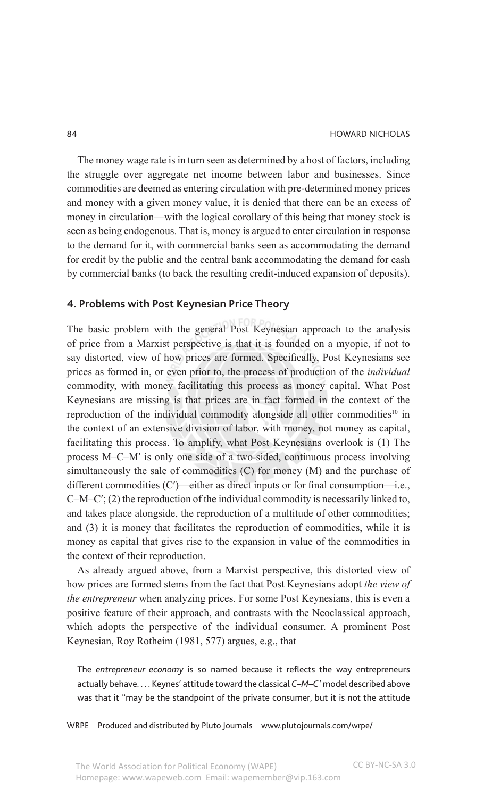The money wage rate is in turn seen as determined by a host of factors, including the struggle over aggregate net income between labor and businesses. Since commodities are deemed as entering circulation with pre-determined money prices and money with a given money value, it is denied that there can be an excess of money in circulation—with the logical corollary of this being that money stock is seen as being endogenous. That is, money is argued to enter circulation in response to the demand for it, with commercial banks seen as accommodating the demand for credit by the public and the central bank accommodating the demand for cash by commercial banks (to back the resulting credit-induced expansion of deposits).

## **4. Problems with Post Keynesian Price Theory**

The basic problem with the general Post Keynesian approach to the analysis of price from a Marxist perspective is that it is founded on a myopic, if not to say distorted, view of how prices are formed. Specifically, Post Keynesians see prices as formed in, or even prior to, the process of production of the *individual* commodity, with money facilitating this process as money capital. What Post Keynesians are missing is that prices are in fact formed in the context of the reproduction of the individual commodity alongside all other commodities<sup>10</sup> in the context of an extensive division of labor, with money, not money as capital, facilitating this process. To amplify, what Post Keynesians overlook is (1) The process M–C–Mʹ is only one side of a two-sided, continuous process involving simultaneously the sale of commodities (C) for money (M) and the purchase of different commodities (Cʹ)—either as direct inputs or for final consumption—i.e.,  $C-M-C'$ ; (2) the reproduction of the individual commodity is necessarily linked to, and takes place alongside, the reproduction of a multitude of other commodities; and (3) it is money that facilitates the reproduction of commodities, while it is money as capital that gives rise to the expansion in value of the commodities in the context of their reproduction.

As already argued above, from a Marxist perspective, this distorted view of how prices are formed stems from the fact that Post Keynesians adopt *the view of the entrepreneur* when analyzing prices. For some Post Keynesians, this is even a positive feature of their approach, and contrasts with the Neoclassical approach, which adopts the perspective of the individual consumer. A prominent Post Keynesian, Roy Rotheim (1981, 577) argues, e.g., that

The *entrepreneur economy* is so named because it reflects the way entrepreneurs actually behave. . . . Keynes' attitude toward the classical *C–M–C'* model described above was that it "may be the standpoint of the private consumer, but it is not the attitude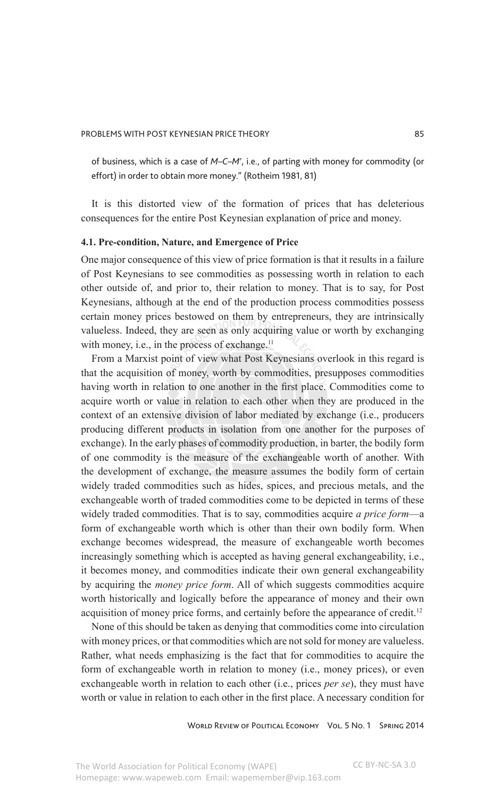of business, which is a case of *M–C–M*ʹ, i.e., of parting with money for commodity (or effort) in order to obtain more money." (Rotheim 1981, 81)

It is this distorted view of the formation of prices that has deleterious consequences for the entire Post Keynesian explanation of price and money.

## **4.1. Pre-condition, Nature, and Emergence of Price**

One major consequence of this view of price formation is that it results in a failure of Post Keynesians to see commodities as possessing worth in relation to each other outside of, and prior to, their relation to money. That is to say, for Post Keynesians, although at the end of the production process commodities possess certain money prices bestowed on them by entrepreneurs, they are intrinsically valueless. Indeed, they are seen as only acquiring value or worth by exchanging with money, i.e., in the process of exchange.<sup>11</sup>

From a Marxist point of view what Post Keynesians overlook in this regard is that the acquisition of money, worth by commodities, presupposes commodities having worth in relation to one another in the first place. Commodities come to acquire worth or value in relation to each other when they are produced in the context of an extensive division of labor mediated by exchange (i.e., producers producing different products in isolation from one another for the purposes of exchange). In the early phases of commodity production, in barter, the bodily form of one commodity is the measure of the exchangeable worth of another. With the development of exchange, the measure assumes the bodily form of certain widely traded commodities such as hides, spices, and precious metals, and the exchangeable worth of traded commodities come to be depicted in terms of these widely traded commodities. That is to say, commodities acquire *a price form*—a form of exchangeable worth which is other than their own bodily form. When exchange becomes widespread, the measure of exchangeable worth becomes increasingly something which is accepted as having general exchangeability, i.e., it becomes money, and commodities indicate their own general exchangeability by acquiring the *money price form*. All of which suggests commodities acquire worth historically and logically before the appearance of money and their own acquisition of money price forms, and certainly before the appearance of credit.12

None of this should be taken as denying that commodities come into circulation with money prices, or that commodities which are not sold for money are valueless. Rather, what needs emphasizing is the fact that for commodities to acquire the form of exchangeable worth in relation to money (i.e., money prices), or even exchangeable worth in relation to each other (i.e., prices *per se*), they must have worth or value in relation to each other in the first place. A necessary condition for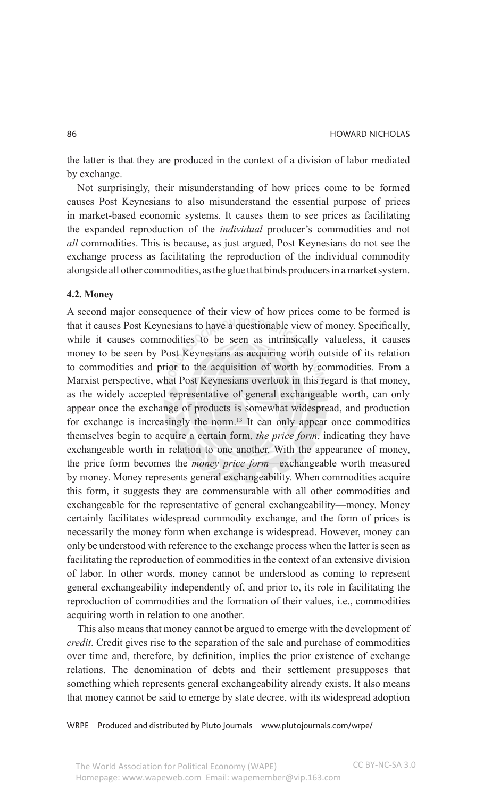the latter is that they are produced in the context of a division of labor mediated by exchange.

Not surprisingly, their misunderstanding of how prices come to be formed causes Post Keynesians to also misunderstand the essential purpose of prices in market-based economic systems. It causes them to see prices as facilitating the expanded reproduction of the *individual* producer's commodities and not *all* commodities. This is because, as just argued, Post Keynesians do not see the exchange process as facilitating the reproduction of the individual commodity alongside all other commodities, as the glue that binds producers in a market system.

## **4.2. Money**

A second major consequence of their view of how prices come to be formed is that it causes Post Keynesians to have a questionable view of money. Specifically, while it causes commodities to be seen as intrinsically valueless, it causes money to be seen by Post Keynesians as acquiring worth outside of its relation to commodities and prior to the acquisition of worth by commodities. From a Marxist perspective, what Post Keynesians overlook in this regard is that money, as the widely accepted representative of general exchangeable worth, can only appear once the exchange of products is somewhat widespread, and production for exchange is increasingly the norm.<sup>13</sup> It can only appear once commodities themselves begin to acquire a certain form, *the price form*, indicating they have exchangeable worth in relation to one another. With the appearance of money, the price form becomes the *money price form*—exchangeable worth measured by money. Money represents general exchangeability. When commodities acquire this form, it suggests they are commensurable with all other commodities and exchangeable for the representative of general exchangeability—money. Money certainly facilitates widespread commodity exchange, and the form of prices is necessarily the money form when exchange is widespread. However, money can only be understood with reference to the exchange process when the latter is seen as facilitating the reproduction of commodities in the context of an extensive division of labor. In other words, money cannot be understood as coming to represent general exchangeability independently of, and prior to, its role in facilitating the reproduction of commodities and the formation of their values, i.e., commodities acquiring worth in relation to one another.

This also means that money cannot be argued to emerge with the development of *credit*. Credit gives rise to the separation of the sale and purchase of commodities over time and, therefore, by definition, implies the prior existence of exchange relations. The denomination of debts and their settlement presupposes that something which represents general exchangeability already exists. It also means that money cannot be said to emerge by state decree, with its widespread adoption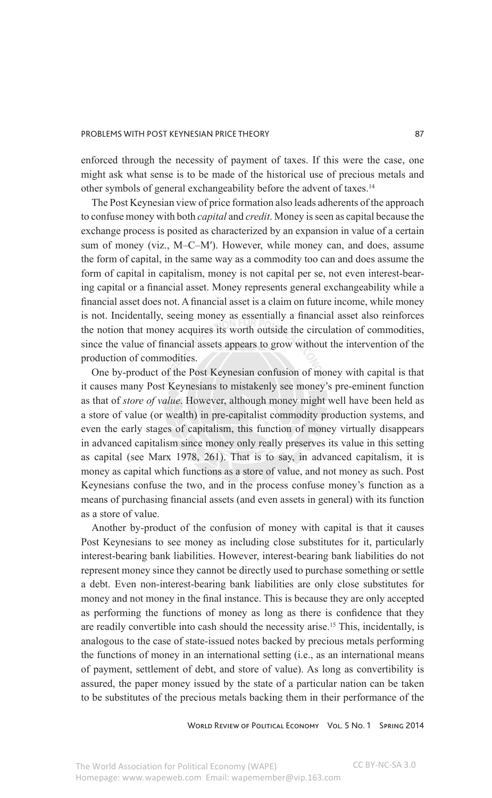enforced through the necessity of payment of taxes. If this were the case, one might ask what sense is to be made of the historical use of precious metals and other symbols of general exchangeability before the advent of taxes.14

The Post Keynesian view of price formation also leads adherents of the approach to confuse money with both *capital* and *credit*. Money is seen as capital because the exchange process is posited as characterized by an expansion in value of a certain sum of money (viz., M–C–Mʹ). However, while money can, and does, assume the form of capital, in the same way as a commodity too can and does assume the form of capital in capitalism, money is not capital per se, not even interest-bearing capital or a financial asset. Money represents general exchangeability while a financial asset does not. A financial asset is a claim on future income, while money is not. Incidentally, seeing money as essentially a financial asset also reinforces the notion that money acquires its worth outside the circulation of commodities, since the value of financial assets appears to grow without the intervention of the production of commodities.

One by-product of the Post Keynesian confusion of money with capital is that it causes many Post Keynesians to mistakenly see money's pre-eminent function as that of *store of value*. However, although money might well have been held as a store of value (or wealth) in pre-capitalist commodity production systems, and even the early stages of capitalism, this function of money virtually disappears in advanced capitalism since money only really preserves its value in this setting as capital (see Marx 1978, 261). That is to say, in advanced capitalism, it is money as capital which functions as a store of value, and not money as such. Post Keynesians confuse the two, and in the process confuse money's function as a means of purchasing financial assets (and even assets in general) with its function as a store of value.

Another by-product of the confusion of money with capital is that it causes Post Keynesians to see money as including close substitutes for it, particularly interest-bearing bank liabilities. However, interest-bearing bank liabilities do not represent money since they cannot be directly used to purchase something or settle a debt. Even non-interest-bearing bank liabilities are only close substitutes for money and not money in the final instance. This is because they are only accepted as performing the functions of money as long as there is confidence that they are readily convertible into cash should the necessity arise.15 This, incidentally, is analogous to the case of state-issued notes backed by precious metals performing the functions of money in an international setting (i.e., as an international means of payment, settlement of debt, and store of value). As long as convertibility is assured, the paper money issued by the state of a particular nation can be taken to be substitutes of the precious metals backing them in their performance of the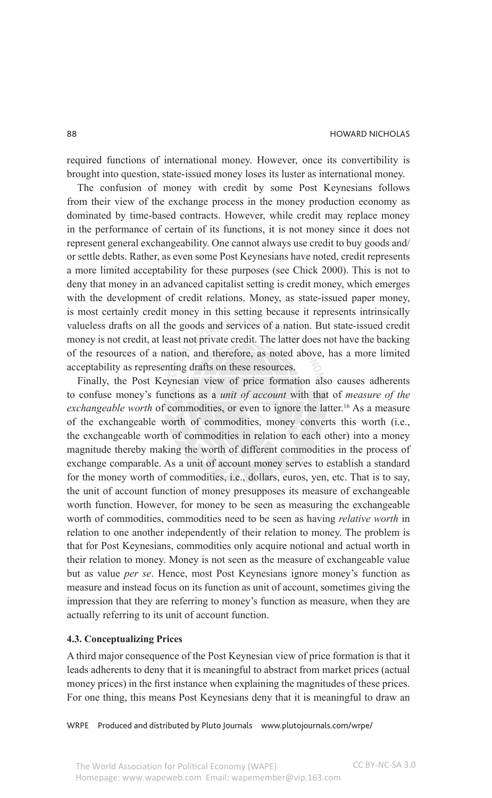required functions of international money. However, once its convertibility is brought into question, state-issued money loses its luster as international money.

The confusion of money with credit by some Post Keynesians follows from their view of the exchange process in the money production economy as dominated by time-based contracts. However, while credit may replace money in the performance of certain of its functions, it is not money since it does not represent general exchangeability. One cannot always use credit to buy goods and/ or settle debts. Rather, as even some Post Keynesians have noted, credit represents a more limited acceptability for these purposes (see Chick 2000). This is not to deny that money in an advanced capitalist setting is credit money, which emerges with the development of credit relations. Money, as state-issued paper money, is most certainly credit money in this setting because it represents intrinsically valueless drafts on all the goods and services of a nation. But state-issued credit money is not credit, at least not private credit. The latter does not have the backing of the resources of a nation, and therefore, as noted above, has a more limited acceptability as representing drafts on these resources.

Finally, the Post Keynesian view of price formation also causes adherents to confuse money's functions as a *unit of account* with that of *measure of the exchangeable worth* of commodities, or even to ignore the latter.<sup>16</sup> As a measure of the exchangeable worth of commodities, money converts this worth (i.e., the exchangeable worth of commodities in relation to each other) into a money magnitude thereby making the worth of different commodities in the process of exchange comparable. As a unit of account money serves to establish a standard for the money worth of commodities, i.e., dollars, euros, yen, etc. That is to say, the unit of account function of money presupposes its measure of exchangeable worth function. However, for money to be seen as measuring the exchangeable worth of commodities, commodities need to be seen as having *relative worth* in relation to one another independently of their relation to money. The problem is that for Post Keynesians, commodities only acquire notional and actual worth in their relation to money. Money is not seen as the measure of exchangeable value but as value *per se*. Hence, most Post Keynesians ignore money's function as measure and instead focus on its function as unit of account, sometimes giving the impression that they are referring to money's function as measure, when they are actually referring to its unit of account function.

## **4.3. Conceptualizing Prices**

A third major consequence of the Post Keynesian view of price formation is that it leads adherents to deny that it is meaningful to abstract from market prices (actual money prices) in the first instance when explaining the magnitudes of these prices. For one thing, this means Post Keynesians deny that it is meaningful to draw an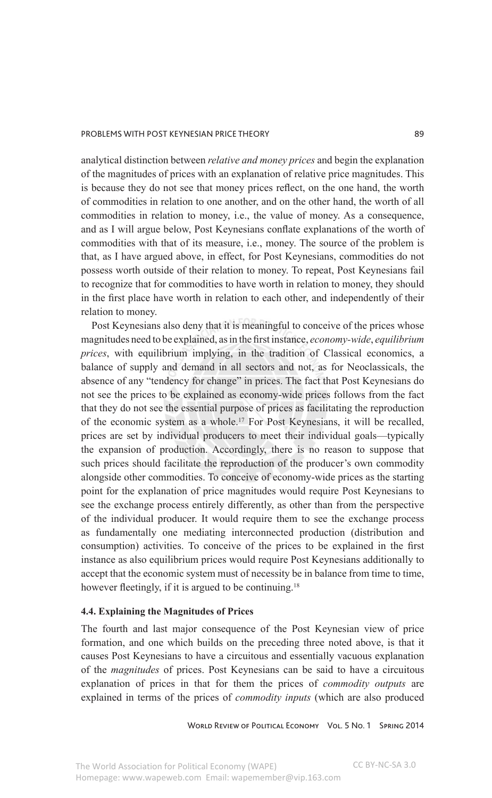analytical distinction between *relative and money prices* and begin the explanation of the magnitudes of prices with an explanation of relative price magnitudes. This is because they do not see that money prices reflect, on the one hand, the worth of commodities in relation to one another, and on the other hand, the worth of all commodities in relation to money, i.e., the value of money. As a consequence, and as I will argue below, Post Keynesians conflate explanations of the worth of commodities with that of its measure, i.e., money. The source of the problem is that, as I have argued above, in effect, for Post Keynesians, commodities do not possess worth outside of their relation to money. To repeat, Post Keynesians fail to recognize that for commodities to have worth in relation to money, they should in the first place have worth in relation to each other, and independently of their relation to money.

Post Keynesians also deny that it is meaningful to conceive of the prices whose magnitudes need to be explained, as in the first instance, *economy-wide*, *equilibrium prices*, with equilibrium implying, in the tradition of Classical economics, a balance of supply and demand in all sectors and not, as for Neoclassicals, the absence of any "tendency for change" in prices. The fact that Post Keynesians do not see the prices to be explained as economy-wide prices follows from the fact that they do not see the essential purpose of prices as facilitating the reproduction of the economic system as a whole.17 For Post Keynesians, it will be recalled, prices are set by individual producers to meet their individual goals—typically the expansion of production. Accordingly, there is no reason to suppose that such prices should facilitate the reproduction of the producer's own commodity alongside other commodities. To conceive of economy-wide prices as the starting point for the explanation of price magnitudes would require Post Keynesians to see the exchange process entirely differently, as other than from the perspective of the individual producer. It would require them to see the exchange process as fundamentally one mediating interconnected production (distribution and consumption) activities. To conceive of the prices to be explained in the first instance as also equilibrium prices would require Post Keynesians additionally to accept that the economic system must of necessity be in balance from time to time, however fleetingly, if it is argued to be continuing.<sup>18</sup>

## **4.4. Explaining the Magnitudes of Prices**

The fourth and last major consequence of the Post Keynesian view of price formation, and one which builds on the preceding three noted above, is that it causes Post Keynesians to have a circuitous and essentially vacuous explanation of the *magnitudes* of prices. Post Keynesians can be said to have a circuitous explanation of prices in that for them the prices of *commodity outputs* are explained in terms of the prices of *commodity inputs* (which are also produced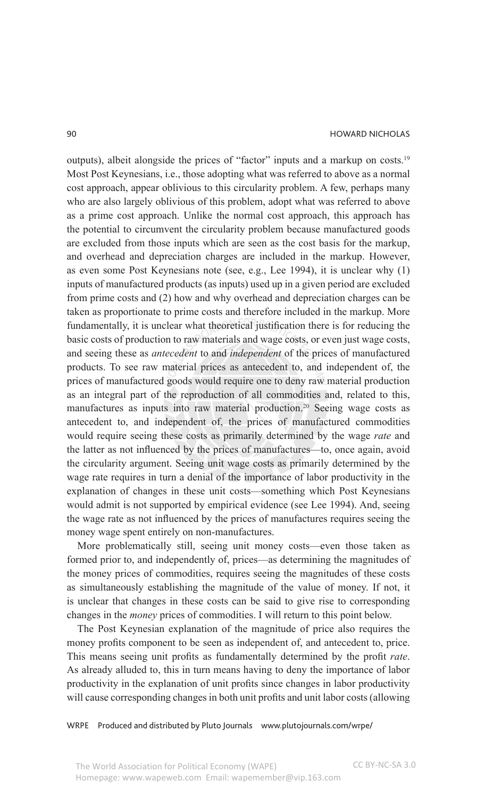outputs), albeit alongside the prices of "factor" inputs and a markup on costs.19 Most Post Keynesians, i.e., those adopting what was referred to above as a normal cost approach, appear oblivious to this circularity problem. A few, perhaps many who are also largely oblivious of this problem, adopt what was referred to above as a prime cost approach. Unlike the normal cost approach, this approach has the potential to circumvent the circularity problem because manufactured goods are excluded from those inputs which are seen as the cost basis for the markup, and overhead and depreciation charges are included in the markup. However, as even some Post Keynesians note (see, e.g., Lee 1994), it is unclear why (1) inputs of manufactured products (as inputs) used up in a given period are excluded from prime costs and (2) how and why overhead and depreciation charges can be taken as proportionate to prime costs and therefore included in the markup. More fundamentally, it is unclear what theoretical justification there is for reducing the basic costs of production to raw materials and wage costs, or even just wage costs, and seeing these as *antecedent* to and *independent* of the prices of manufactured products. To see raw material prices as antecedent to, and independent of, the prices of manufactured goods would require one to deny raw material production as an integral part of the reproduction of all commodities and, related to this, manufactures as inputs into raw material production.<sup>20</sup> Seeing wage costs as antecedent to, and independent of, the prices of manufactured commodities would require seeing these costs as primarily determined by the wage *rate* and the latter as not influenced by the prices of manufactures—to, once again, avoid the circularity argument. Seeing unit wage costs as primarily determined by the wage rate requires in turn a denial of the importance of labor productivity in the explanation of changes in these unit costs—something which Post Keynesians would admit is not supported by empirical evidence (see Lee 1994). And, seeing the wage rate as not influenced by the prices of manufactures requires seeing the money wage spent entirely on non-manufactures.

More problematically still, seeing unit money costs—even those taken as formed prior to, and independently of, prices—as determining the magnitudes of the money prices of commodities, requires seeing the magnitudes of these costs as simultaneously establishing the magnitude of the value of money. If not, it is unclear that changes in these costs can be said to give rise to corresponding changes in the *money* prices of commodities. I will return to this point below.

The Post Keynesian explanation of the magnitude of price also requires the money profits component to be seen as independent of, and antecedent to, price. This means seeing unit profits as fundamentally determined by the profit *rate*. As already alluded to, this in turn means having to deny the importance of labor productivity in the explanation of unit profits since changes in labor productivity will cause corresponding changes in both unit profits and unit labor costs (allowing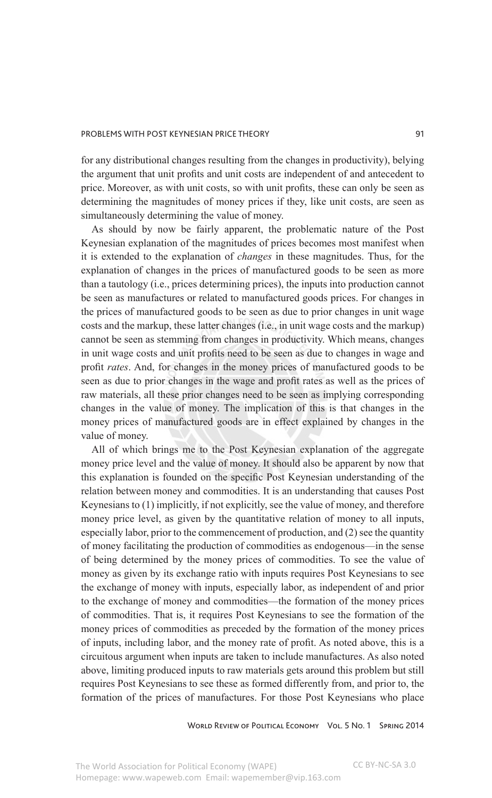for any distributional changes resulting from the changes in productivity), belying the argument that unit profits and unit costs are independent of and antecedent to price. Moreover, as with unit costs, so with unit profits, these can only be seen as determining the magnitudes of money prices if they, like unit costs, are seen as simultaneously determining the value of money.

As should by now be fairly apparent, the problematic nature of the Post Keynesian explanation of the magnitudes of prices becomes most manifest when it is extended to the explanation of *changes* in these magnitudes. Thus, for the explanation of changes in the prices of manufactured goods to be seen as more than a tautology (i.e., prices determining prices), the inputs into production cannot be seen as manufactures or related to manufactured goods prices. For changes in the prices of manufactured goods to be seen as due to prior changes in unit wage costs and the markup, these latter changes (i.e., in unit wage costs and the markup) cannot be seen as stemming from changes in productivity. Which means, changes in unit wage costs and unit profits need to be seen as due to changes in wage and profit *rates*. And, for changes in the money prices of manufactured goods to be seen as due to prior changes in the wage and profit rates as well as the prices of raw materials, all these prior changes need to be seen as implying corresponding changes in the value of money. The implication of this is that changes in the money prices of manufactured goods are in effect explained by changes in the value of money.

All of which brings me to the Post Keynesian explanation of the aggregate money price level and the value of money. It should also be apparent by now that this explanation is founded on the specific Post Keynesian understanding of the relation between money and commodities. It is an understanding that causes Post Keynesians to (1) implicitly, if not explicitly, see the value of money, and therefore money price level, as given by the quantitative relation of money to all inputs, especially labor, prior to the commencement of production, and (2) see the quantity of money facilitating the production of commodities as endogenous—in the sense of being determined by the money prices of commodities. To see the value of money as given by its exchange ratio with inputs requires Post Keynesians to see the exchange of money with inputs, especially labor, as independent of and prior to the exchange of money and commodities—the formation of the money prices of commodities. That is, it requires Post Keynesians to see the formation of the money prices of commodities as preceded by the formation of the money prices of inputs, including labor, and the money rate of profit. As noted above, this is a circuitous argument when inputs are taken to include manufactures. As also noted above, limiting produced inputs to raw materials gets around this problem but still requires Post Keynesians to see these as formed differently from, and prior to, the formation of the prices of manufactures. For those Post Keynesians who place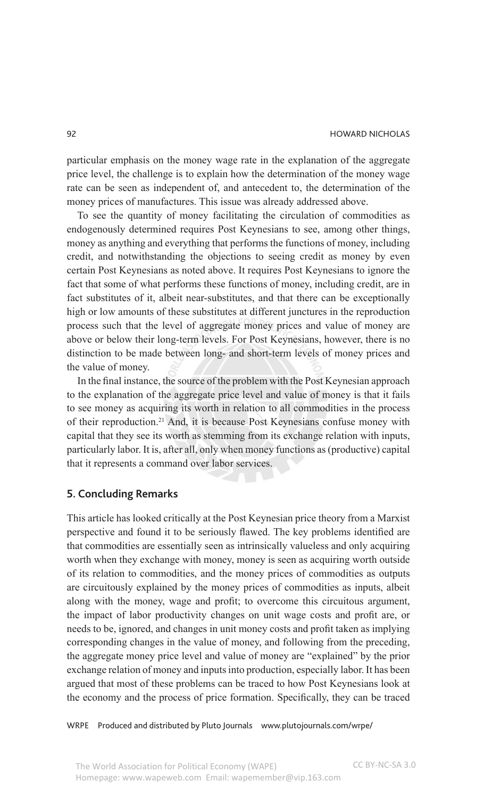particular emphasis on the money wage rate in the explanation of the aggregate price level, the challenge is to explain how the determination of the money wage rate can be seen as independent of, and antecedent to, the determination of the money prices of manufactures. This issue was already addressed above.

To see the quantity of money facilitating the circulation of commodities as endogenously determined requires Post Keynesians to see, among other things, money as anything and everything that performs the functions of money, including credit, and notwithstanding the objections to seeing credit as money by even certain Post Keynesians as noted above. It requires Post Keynesians to ignore the fact that some of what performs these functions of money, including credit, are in fact substitutes of it, albeit near-substitutes, and that there can be exceptionally high or low amounts of these substitutes at different junctures in the reproduction process such that the level of aggregate money prices and value of money are above or below their long-term levels. For Post Keynesians, however, there is no distinction to be made between long- and short-term levels of money prices and the value of money.

In the final instance, the source of the problem with the Post Keynesian approach to the explanation of the aggregate price level and value of money is that it fails to see money as acquiring its worth in relation to all commodities in the process of their reproduction.21 And, it is because Post Keynesians confuse money with capital that they see its worth as stemming from its exchange relation with inputs, particularly labor. It is, after all, only when money functions as (productive) capital that it represents a command over labor services.

## **5. Concluding Remarks**

This article has looked critically at the Post Keynesian price theory from a Marxist perspective and found it to be seriously flawed. The key problems identified are that commodities are essentially seen as intrinsically valueless and only acquiring worth when they exchange with money, money is seen as acquiring worth outside of its relation to commodities, and the money prices of commodities as outputs are circuitously explained by the money prices of commodities as inputs, albeit along with the money, wage and profit; to overcome this circuitous argument, the impact of labor productivity changes on unit wage costs and profit are, or needs to be, ignored, and changes in unit money costs and profit taken as implying corresponding changes in the value of money, and following from the preceding, the aggregate money price level and value of money are "explained" by the prior exchange relation of money and inputs into production, especially labor. It has been argued that most of these problems can be traced to how Post Keynesians look at the economy and the process of price formation. Specifically, they can be traced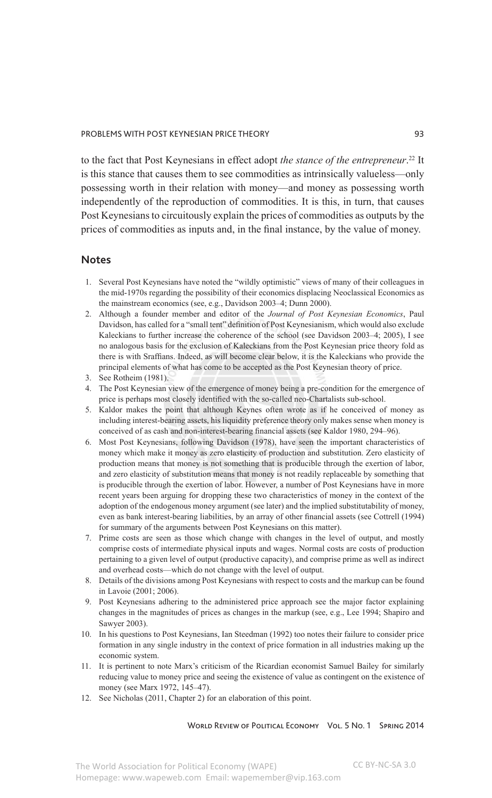to the fact that Post Keynesians in effect adopt *the stance of the entrepreneur*. 22 It is this stance that causes them to see commodities as intrinsically valueless—only possessing worth in their relation with money—and money as possessing worth independently of the reproduction of commodities. It is this, in turn, that causes Post Keynesians to circuitously explain the prices of commodities as outputs by the prices of commodities as inputs and, in the final instance, by the value of money.

## **Notes**

- 1. Several Post Keynesians have noted the "wildly optimistic" views of many of their colleagues in the mid-1970s regarding the possibility of their economics displacing Neoclassical Economics as the mainstream economics (see, e.g., Davidson 2003–4; Dunn 2000).
- 2. Although a founder member and editor of the *Journal of Post Keynesian Economics*, Paul Davidson, has called for a "small tent" definition of Post Keynesianism, which would also exclude Kaleckians to further increase the coherence of the school (see Davidson 2003–4; 2005), I see no analogous basis for the exclusion of Kaleckians from the Post Keynesian price theory fold as there is with Sraffians. Indeed, as will become clear below, it is the Kaleckians who provide the principal elements of what has come to be accepted as the Post Keynesian theory of price.
- 3. See Rotheim (1981).
- 4. The Post Keynesian view of the emergence of money being a pre-condition for the emergence of price is perhaps most closely identified with the so-called neo-Chartalists sub-school.
- 5. Kaldor makes the point that although Keynes often wrote as if he conceived of money as including interest-bearing assets, his liquidity preference theory only makes sense when money is conceived of as cash and non-interest-bearing financial assets (see Kaldor 1980, 294–96).
- 6. Most Post Keynesians, following Davidson (1978), have seen the important characteristics of money which make it money as zero elasticity of production and substitution. Zero elasticity of production means that money is not something that is producible through the exertion of labor, and zero elasticity of substitution means that money is not readily replaceable by something that is producible through the exertion of labor. However, a number of Post Keynesians have in more recent years been arguing for dropping these two characteristics of money in the context of the adoption of the endogenous money argument (see later) and the implied substitutability of money, even as bank interest-bearing liabilities, by an array of other financial assets (see Cottrell (1994) for summary of the arguments between Post Keynesians on this matter).
- 7. Prime costs are seen as those which change with changes in the level of output, and mostly comprise costs of intermediate physical inputs and wages. Normal costs are costs of production pertaining to a given level of output (productive capacity), and comprise prime as well as indirect and overhead costs—which do not change with the level of output.
- 8. Details of the divisions among Post Keynesians with respect to costs and the markup can be found in Lavoie (2001; 2006).
- 9. Post Keynesians adhering to the administered price approach see the major factor explaining changes in the magnitudes of prices as changes in the markup (see, e.g., Lee 1994; Shapiro and Sawyer 2003).
- 10. In his questions to Post Keynesians, Ian Steedman (1992) too notes their failure to consider price formation in any single industry in the context of price formation in all industries making up the economic system.
- 11. It is pertinent to note Marx's criticism of the Ricardian economist Samuel Bailey for similarly reducing value to money price and seeing the existence of value as contingent on the existence of money (see Marx 1972, 145–47).
- 12. See Nicholas (2011, Chapter 2) for an elaboration of this point.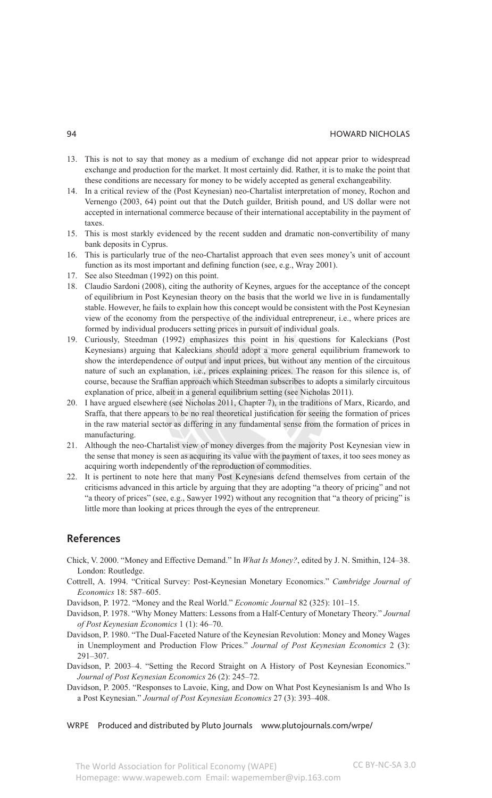#### 94 **HOWARD NICHOLAS**

- 13. This is not to say that money as a medium of exchange did not appear prior to widespread exchange and production for the market. It most certainly did. Rather, it is to make the point that these conditions are necessary for money to be widely accepted as general exchangeability.
- 14. In a critical review of the (Post Keynesian) neo-Chartalist interpretation of money, Rochon and Vernengo (2003, 64) point out that the Dutch guilder, British pound, and US dollar were not accepted in international commerce because of their international acceptability in the payment of taxes.
- 15. This is most starkly evidenced by the recent sudden and dramatic non-convertibility of many bank deposits in Cyprus.
- 16. This is particularly true of the neo-Chartalist approach that even sees money's unit of account function as its most important and defining function (see, e.g., Wray 2001).
- 17. See also Steedman (1992) on this point.
- 18. Claudio Sardoni (2008), citing the authority of Keynes, argues for the acceptance of the concept of equilibrium in Post Keynesian theory on the basis that the world we live in is fundamentally stable. However, he fails to explain how this concept would be consistent with the Post Keynesian view of the economy from the perspective of the individual entrepreneur, i.e., where prices are formed by individual producers setting prices in pursuit of individual goals.
- 19. Curiously, Steedman (1992) emphasizes this point in his questions for Kaleckians (Post Keynesians) arguing that Kaleckians should adopt a more general equilibrium framework to show the interdependence of output and input prices, but without any mention of the circuitous nature of such an explanation, i.e., prices explaining prices. The reason for this silence is, of course, because the Sraffian approach which Steedman subscribes to adopts a similarly circuitous explanation of price, albeit in a general equilibrium setting (see Nicholas 2011).
- 20. I have argued elsewhere (see Nicholas 2011, Chapter 7), in the traditions of Marx, Ricardo, and Sraffa, that there appears to be no real theoretical justification for seeing the formation of prices in the raw material sector as differing in any fundamental sense from the formation of prices in manufacturing.
- 21. Although the neo-Chartalist view of money diverges from the majority Post Keynesian view in the sense that money is seen as acquiring its value with the payment of taxes, it too sees money as acquiring worth independently of the reproduction of commodities.
- 22. It is pertinent to note here that many Post Keynesians defend themselves from certain of the criticisms advanced in this article by arguing that they are adopting "a theory of pricing" and not "a theory of prices" (see, e.g., Sawyer 1992) without any recognition that "a theory of pricing" is little more than looking at prices through the eyes of the entrepreneur.

# **References**

- Chick, V. 2000. "Money and Effective Demand." In *What Is Money?*, edited by J. N. Smithin, 124–38. London: Routledge.
- Cottrell, A. 1994. "Critical Survey: Post-Keynesian Monetary Economics." *Cambridge Journal of Economics* 18: 587–605.
- Davidson, P. 1972. "Money and the Real World." *Economic Journal* 82 (325): 101–15.
- Davidson, P. 1978. "Why Money Matters: Lessons from a Half-Century of Monetary Theory." *Journal of Post Keynesian Economics* 1 (1): 46–70.
- Davidson, P. 1980. "The Dual-Faceted Nature of the Keynesian Revolution: Money and Money Wages in Unemployment and Production Flow Prices." *Journal of Post Keynesian Economics* 2 (3): 291–307.
- Davidson, P. 2003–4. "Setting the Record Straight on A History of Post Keynesian Economics." *Journal of Post Keynesian Economics* 26 (2): 245–72.
- Davidson, P. 2005. "Responses to Lavoie, King, and Dow on What Post Keynesianism Is and Who Is a Post Keynesian." *Journal of Post Keynesian Economics* 27 (3): 393–408.